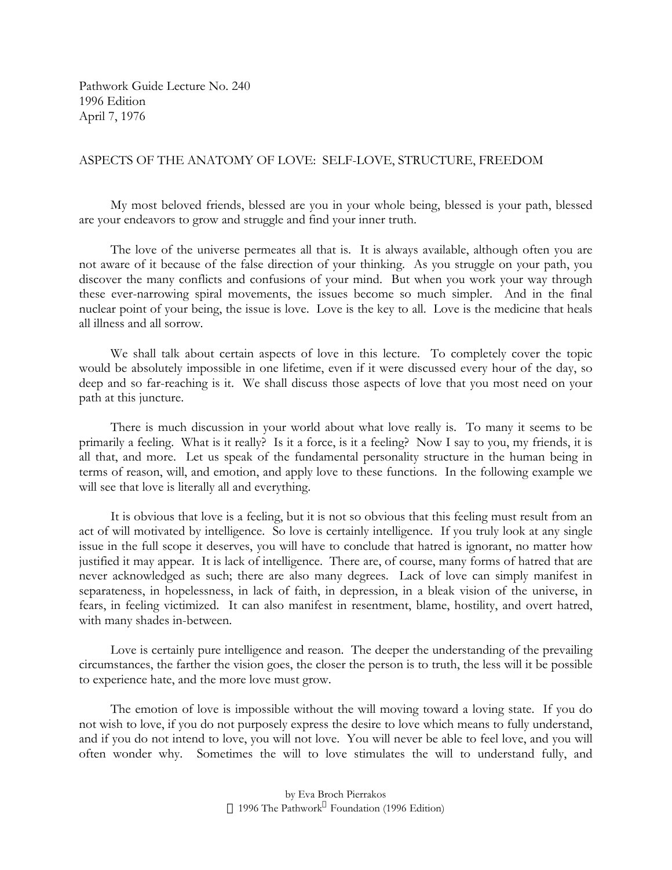Pathwork Guide Lecture No. 240 1996 Edition April 7, 1976

## ASPECTS OF THE ANATOMY OF LOVE: SELF-LOVE, STRUCTURE, FREEDOM

My most beloved friends, blessed are you in your whole being, blessed is your path, blessed are your endeavors to grow and struggle and find your inner truth.

The love of the universe permeates all that is. It is always available, although often you are not aware of it because of the false direction of your thinking. As you struggle on your path, you discover the many conflicts and confusions of your mind. But when you work your way through these ever-narrowing spiral movements, the issues become so much simpler. And in the final nuclear point of your being, the issue is love. Love is the key to all. Love is the medicine that heals all illness and all sorrow.

We shall talk about certain aspects of love in this lecture. To completely cover the topic would be absolutely impossible in one lifetime, even if it were discussed every hour of the day, so deep and so far-reaching is it. We shall discuss those aspects of love that you most need on your path at this juncture.

There is much discussion in your world about what love really is. To many it seems to be primarily a feeling. What is it really? Is it a force, is it a feeling? Now I say to you, my friends, it is all that, and more. Let us speak of the fundamental personality structure in the human being in terms of reason, will, and emotion, and apply love to these functions. In the following example we will see that love is literally all and everything.

It is obvious that love is a feeling, but it is not so obvious that this feeling must result from an act of will motivated by intelligence. So love is certainly intelligence. If you truly look at any single issue in the full scope it deserves, you will have to conclude that hatred is ignorant, no matter how justified it may appear. It is lack of intelligence. There are, of course, many forms of hatred that are never acknowledged as such; there are also many degrees. Lack of love can simply manifest in separateness, in hopelessness, in lack of faith, in depression, in a bleak vision of the universe, in fears, in feeling victimized. It can also manifest in resentment, blame, hostility, and overt hatred, with many shades in-between.

Love is certainly pure intelligence and reason. The deeper the understanding of the prevailing circumstances, the farther the vision goes, the closer the person is to truth, the less will it be possible to experience hate, and the more love must grow.

The emotion of love is impossible without the will moving toward a loving state. If you do not wish to love, if you do not purposely express the desire to love which means to fully understand, and if you do not intend to love, you will not love. You will never be able to feel love, and you will often wonder why. Sometimes the will to love stimulates the will to understand fully, and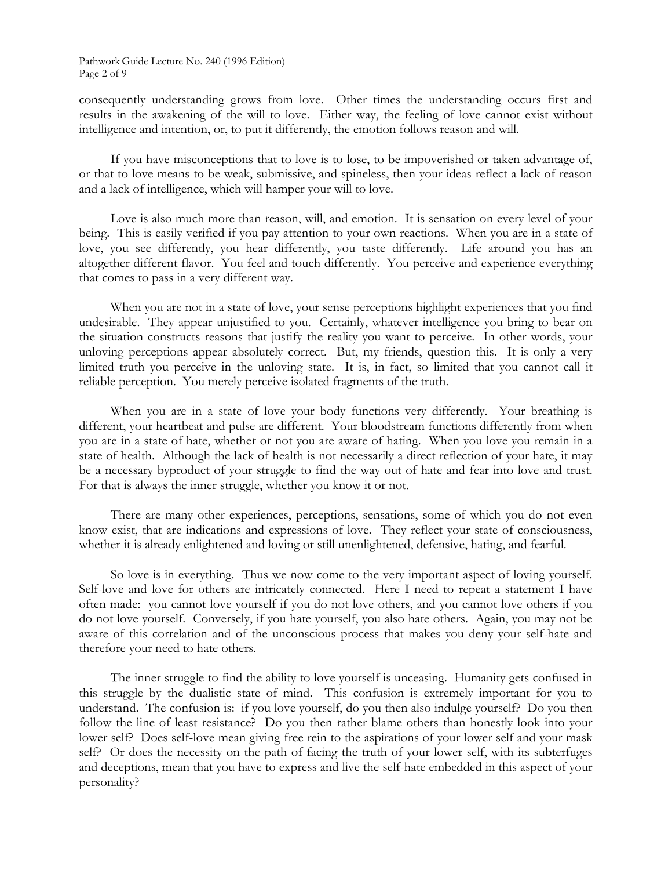consequently understanding grows from love. Other times the understanding occurs first and results in the awakening of the will to love. Either way, the feeling of love cannot exist without intelligence and intention, or, to put it differently, the emotion follows reason and will.

If you have misconceptions that to love is to lose, to be impoverished or taken advantage of, or that to love means to be weak, submissive, and spineless, then your ideas reflect a lack of reason and a lack of intelligence, which will hamper your will to love.

Love is also much more than reason, will, and emotion. It is sensation on every level of your being. This is easily verified if you pay attention to your own reactions. When you are in a state of love, you see differently, you hear differently, you taste differently. Life around you has an altogether different flavor. You feel and touch differently. You perceive and experience everything that comes to pass in a very different way.

When you are not in a state of love, your sense perceptions highlight experiences that you find undesirable. They appear unjustified to you. Certainly, whatever intelligence you bring to bear on the situation constructs reasons that justify the reality you want to perceive. In other words, your unloving perceptions appear absolutely correct. But, my friends, question this. It is only a very limited truth you perceive in the unloving state. It is, in fact, so limited that you cannot call it reliable perception. You merely perceive isolated fragments of the truth.

When you are in a state of love your body functions very differently. Your breathing is different, your heartbeat and pulse are different. Your bloodstream functions differently from when you are in a state of hate, whether or not you are aware of hating. When you love you remain in a state of health. Although the lack of health is not necessarily a direct reflection of your hate, it may be a necessary byproduct of your struggle to find the way out of hate and fear into love and trust. For that is always the inner struggle, whether you know it or not.

There are many other experiences, perceptions, sensations, some of which you do not even know exist, that are indications and expressions of love. They reflect your state of consciousness, whether it is already enlightened and loving or still unenlightened, defensive, hating, and fearful.

So love is in everything. Thus we now come to the very important aspect of loving yourself. Self-love and love for others are intricately connected. Here I need to repeat a statement I have often made: you cannot love yourself if you do not love others, and you cannot love others if you do not love yourself. Conversely, if you hate yourself, you also hate others. Again, you may not be aware of this correlation and of the unconscious process that makes you deny your self-hate and therefore your need to hate others.

The inner struggle to find the ability to love yourself is unceasing. Humanity gets confused in this struggle by the dualistic state of mind. This confusion is extremely important for you to understand. The confusion is: if you love yourself, do you then also indulge yourself? Do you then follow the line of least resistance? Do you then rather blame others than honestly look into your lower self? Does self-love mean giving free rein to the aspirations of your lower self and your mask self? Or does the necessity on the path of facing the truth of your lower self, with its subterfuges and deceptions, mean that you have to express and live the self-hate embedded in this aspect of your personality?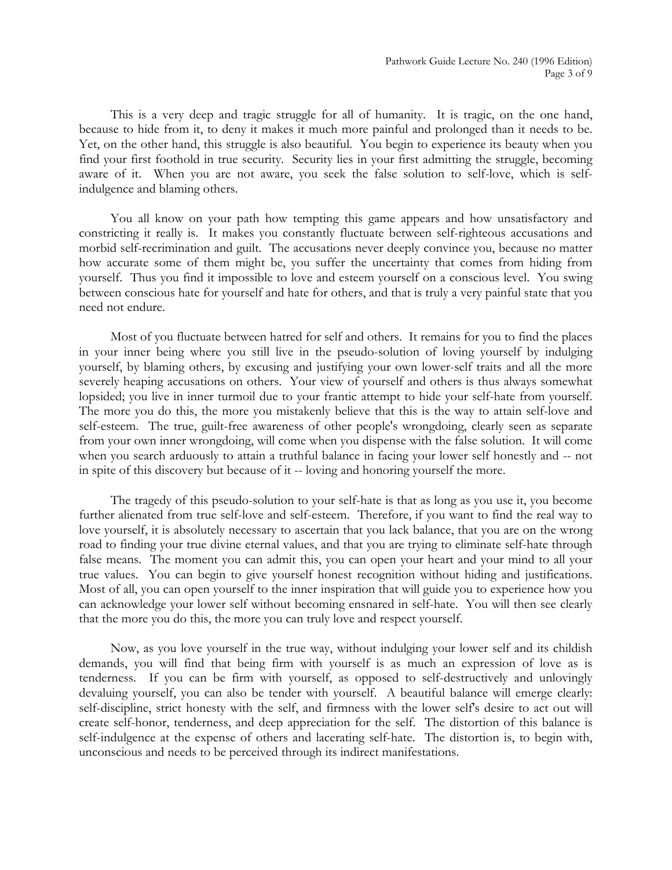This is a very deep and tragic struggle for all of humanity. It is tragic, on the one hand, because to hide from it, to deny it makes it much more painful and prolonged than it needs to be. Yet, on the other hand, this struggle is also beautiful. You begin to experience its beauty when you find your first foothold in true security. Security lies in your first admitting the struggle, becoming aware of it. When you are not aware, you seek the false solution to self-love, which is selfindulgence and blaming others.

You all know on your path how tempting this game appears and how unsatisfactory and constricting it really is. It makes you constantly fluctuate between self-righteous accusations and morbid self-recrimination and guilt. The accusations never deeply convince you, because no matter how accurate some of them might be, you suffer the uncertainty that comes from hiding from yourself. Thus you find it impossible to love and esteem yourself on a conscious level. You swing between conscious hate for yourself and hate for others, and that is truly a very painful state that you need not endure.

Most of you fluctuate between hatred for self and others. It remains for you to find the places in your inner being where you still live in the pseudo-solution of loving yourself by indulging yourself, by blaming others, by excusing and justifying your own lower-self traits and all the more severely heaping accusations on others. Your view of yourself and others is thus always somewhat lopsided; you live in inner turmoil due to your frantic attempt to hide your self-hate from yourself. The more you do this, the more you mistakenly believe that this is the way to attain self-love and self-esteem. The true, guilt-free awareness of other people's wrongdoing, clearly seen as separate from your own inner wrongdoing, will come when you dispense with the false solution. It will come when you search arduously to attain a truthful balance in facing your lower self honestly and -- not in spite of this discovery but because of it -- loving and honoring yourself the more.

The tragedy of this pseudo-solution to your self-hate is that as long as you use it, you become further alienated from true self-love and self-esteem. Therefore, if you want to find the real way to love yourself, it is absolutely necessary to ascertain that you lack balance, that you are on the wrong road to finding your true divine eternal values, and that you are trying to eliminate self-hate through false means. The moment you can admit this, you can open your heart and your mind to all your true values. You can begin to give yourself honest recognition without hiding and justifications. Most of all, you can open yourself to the inner inspiration that will guide you to experience how you can acknowledge your lower self without becoming ensnared in self-hate. You will then see clearly that the more you do this, the more you can truly love and respect yourself.

Now, as you love yourself in the true way, without indulging your lower self and its childish demands, you will find that being firm with yourself is as much an expression of love as is tenderness. If you can be firm with yourself, as opposed to self-destructively and unlovingly devaluing yourself, you can also be tender with yourself. A beautiful balance will emerge clearly: self-discipline, strict honesty with the self, and firmness with the lower self's desire to act out will create self-honor, tenderness, and deep appreciation for the self. The distortion of this balance is self-indulgence at the expense of others and lacerating self-hate. The distortion is, to begin with, unconscious and needs to be perceived through its indirect manifestations.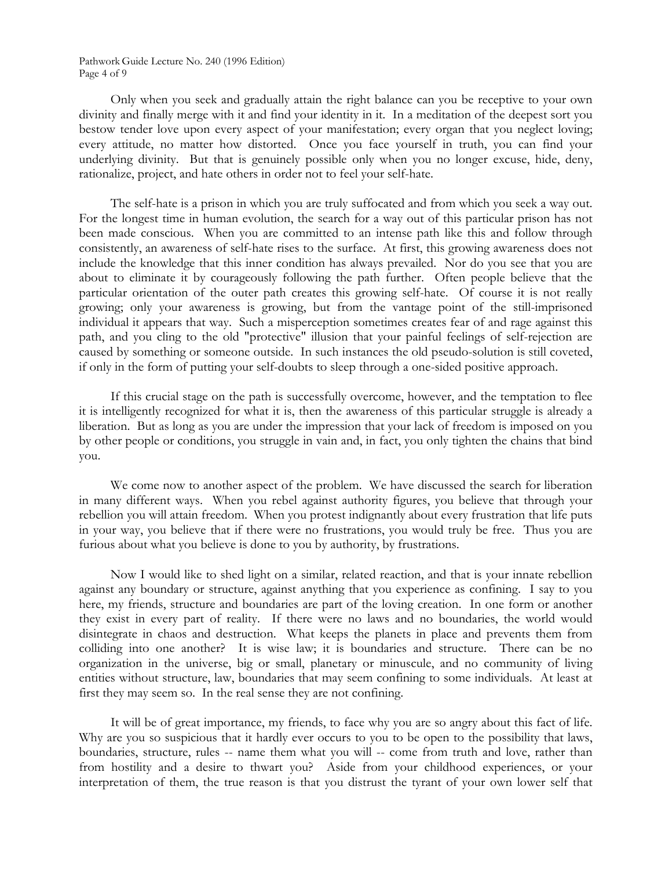Pathwork Guide Lecture No. 240 (1996 Edition) Page 4 of 9

Only when you seek and gradually attain the right balance can you be receptive to your own divinity and finally merge with it and find your identity in it. In a meditation of the deepest sort you bestow tender love upon every aspect of your manifestation; every organ that you neglect loving; every attitude, no matter how distorted. Once you face yourself in truth, you can find your underlying divinity. But that is genuinely possible only when you no longer excuse, hide, deny, rationalize, project, and hate others in order not to feel your self-hate.

The self-hate is a prison in which you are truly suffocated and from which you seek a way out. For the longest time in human evolution, the search for a way out of this particular prison has not been made conscious. When you are committed to an intense path like this and follow through consistently, an awareness of self-hate rises to the surface. At first, this growing awareness does not include the knowledge that this inner condition has always prevailed. Nor do you see that you are about to eliminate it by courageously following the path further. Often people believe that the particular orientation of the outer path creates this growing self-hate. Of course it is not really growing; only your awareness is growing, but from the vantage point of the still-imprisoned individual it appears that way. Such a misperception sometimes creates fear of and rage against this path, and you cling to the old "protective" illusion that your painful feelings of self-rejection are caused by something or someone outside. In such instances the old pseudo-solution is still coveted, if only in the form of putting your self-doubts to sleep through a one-sided positive approach.

If this crucial stage on the path is successfully overcome, however, and the temptation to flee it is intelligently recognized for what it is, then the awareness of this particular struggle is already a liberation. But as long as you are under the impression that your lack of freedom is imposed on you by other people or conditions, you struggle in vain and, in fact, you only tighten the chains that bind you.

We come now to another aspect of the problem. We have discussed the search for liberation in many different ways. When you rebel against authority figures, you believe that through your rebellion you will attain freedom. When you protest indignantly about every frustration that life puts in your way, you believe that if there were no frustrations, you would truly be free. Thus you are furious about what you believe is done to you by authority, by frustrations.

Now I would like to shed light on a similar, related reaction, and that is your innate rebellion against any boundary or structure, against anything that you experience as confining. I say to you here, my friends, structure and boundaries are part of the loving creation. In one form or another they exist in every part of reality. If there were no laws and no boundaries, the world would disintegrate in chaos and destruction. What keeps the planets in place and prevents them from colliding into one another? It is wise law; it is boundaries and structure. There can be no organization in the universe, big or small, planetary or minuscule, and no community of living entities without structure, law, boundaries that may seem confining to some individuals. At least at first they may seem so. In the real sense they are not confining.

It will be of great importance, my friends, to face why you are so angry about this fact of life. Why are you so suspicious that it hardly ever occurs to you to be open to the possibility that laws, boundaries, structure, rules -- name them what you will -- come from truth and love, rather than from hostility and a desire to thwart you? Aside from your childhood experiences, or your interpretation of them, the true reason is that you distrust the tyrant of your own lower self that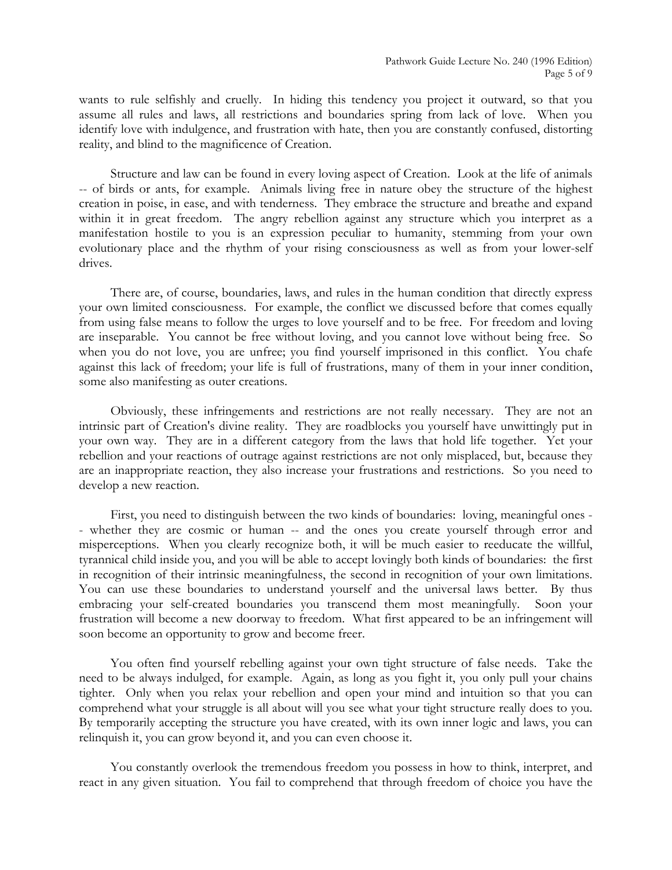wants to rule selfishly and cruelly. In hiding this tendency you project it outward, so that you assume all rules and laws, all restrictions and boundaries spring from lack of love. When you identify love with indulgence, and frustration with hate, then you are constantly confused, distorting reality, and blind to the magnificence of Creation.

Structure and law can be found in every loving aspect of Creation. Look at the life of animals -- of birds or ants, for example. Animals living free in nature obey the structure of the highest creation in poise, in ease, and with tenderness. They embrace the structure and breathe and expand within it in great freedom. The angry rebellion against any structure which you interpret as a manifestation hostile to you is an expression peculiar to humanity, stemming from your own evolutionary place and the rhythm of your rising consciousness as well as from your lower-self drives.

There are, of course, boundaries, laws, and rules in the human condition that directly express your own limited consciousness. For example, the conflict we discussed before that comes equally from using false means to follow the urges to love yourself and to be free. For freedom and loving are inseparable. You cannot be free without loving, and you cannot love without being free. So when you do not love, you are unfree; you find yourself imprisoned in this conflict. You chafe against this lack of freedom; your life is full of frustrations, many of them in your inner condition, some also manifesting as outer creations.

Obviously, these infringements and restrictions are not really necessary. They are not an intrinsic part of Creation's divine reality. They are roadblocks you yourself have unwittingly put in your own way. They are in a different category from the laws that hold life together. Yet your rebellion and your reactions of outrage against restrictions are not only misplaced, but, because they are an inappropriate reaction, they also increase your frustrations and restrictions. So you need to develop a new reaction.

First, you need to distinguish between the two kinds of boundaries: loving, meaningful ones - - whether they are cosmic or human -- and the ones you create yourself through error and misperceptions. When you clearly recognize both, it will be much easier to reeducate the willful, tyrannical child inside you, and you will be able to accept lovingly both kinds of boundaries: the first in recognition of their intrinsic meaningfulness, the second in recognition of your own limitations. You can use these boundaries to understand yourself and the universal laws better. By thus embracing your self-created boundaries you transcend them most meaningfully. Soon your frustration will become a new doorway to freedom. What first appeared to be an infringement will soon become an opportunity to grow and become freer.

You often find yourself rebelling against your own tight structure of false needs. Take the need to be always indulged, for example. Again, as long as you fight it, you only pull your chains tighter. Only when you relax your rebellion and open your mind and intuition so that you can comprehend what your struggle is all about will you see what your tight structure really does to you. By temporarily accepting the structure you have created, with its own inner logic and laws, you can relinquish it, you can grow beyond it, and you can even choose it.

You constantly overlook the tremendous freedom you possess in how to think, interpret, and react in any given situation. You fail to comprehend that through freedom of choice you have the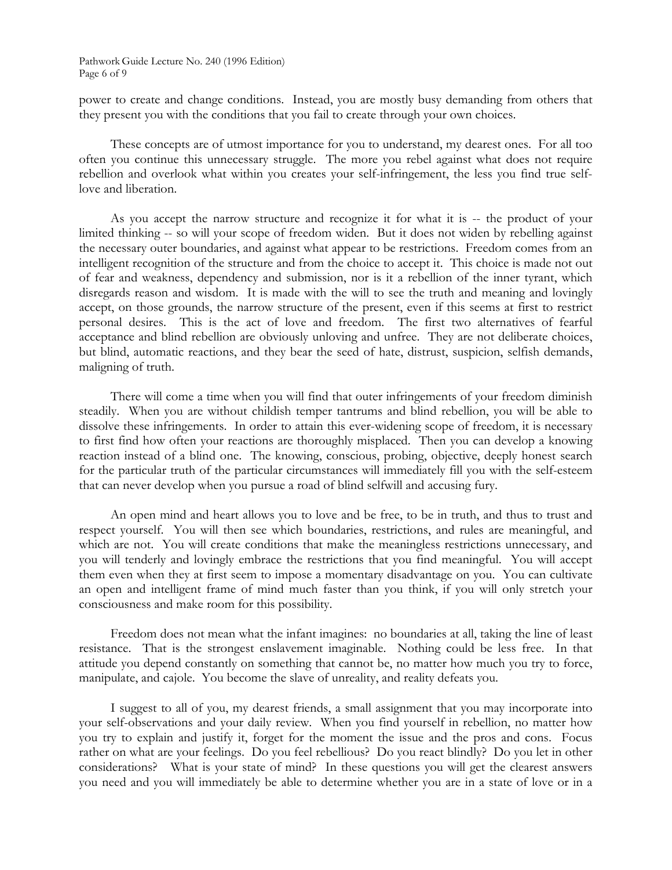power to create and change conditions. Instead, you are mostly busy demanding from others that they present you with the conditions that you fail to create through your own choices.

These concepts are of utmost importance for you to understand, my dearest ones. For all too often you continue this unnecessary struggle. The more you rebel against what does not require rebellion and overlook what within you creates your self-infringement, the less you find true selflove and liberation.

As you accept the narrow structure and recognize it for what it is -- the product of your limited thinking -- so will your scope of freedom widen. But it does not widen by rebelling against the necessary outer boundaries, and against what appear to be restrictions. Freedom comes from an intelligent recognition of the structure and from the choice to accept it. This choice is made not out of fear and weakness, dependency and submission, nor is it a rebellion of the inner tyrant, which disregards reason and wisdom. It is made with the will to see the truth and meaning and lovingly accept, on those grounds, the narrow structure of the present, even if this seems at first to restrict personal desires. This is the act of love and freedom. The first two alternatives of fearful acceptance and blind rebellion are obviously unloving and unfree. They are not deliberate choices, but blind, automatic reactions, and they bear the seed of hate, distrust, suspicion, selfish demands, maligning of truth.

There will come a time when you will find that outer infringements of your freedom diminish steadily. When you are without childish temper tantrums and blind rebellion, you will be able to dissolve these infringements. In order to attain this ever-widening scope of freedom, it is necessary to first find how often your reactions are thoroughly misplaced. Then you can develop a knowing reaction instead of a blind one. The knowing, conscious, probing, objective, deeply honest search for the particular truth of the particular circumstances will immediately fill you with the self-esteem that can never develop when you pursue a road of blind selfwill and accusing fury.

An open mind and heart allows you to love and be free, to be in truth, and thus to trust and respect yourself. You will then see which boundaries, restrictions, and rules are meaningful, and which are not. You will create conditions that make the meaningless restrictions unnecessary, and you will tenderly and lovingly embrace the restrictions that you find meaningful. You will accept them even when they at first seem to impose a momentary disadvantage on you. You can cultivate an open and intelligent frame of mind much faster than you think, if you will only stretch your consciousness and make room for this possibility.

Freedom does not mean what the infant imagines: no boundaries at all, taking the line of least resistance. That is the strongest enslavement imaginable. Nothing could be less free. In that attitude you depend constantly on something that cannot be, no matter how much you try to force, manipulate, and cajole. You become the slave of unreality, and reality defeats you.

I suggest to all of you, my dearest friends, a small assignment that you may incorporate into your self-observations and your daily review. When you find yourself in rebellion, no matter how you try to explain and justify it, forget for the moment the issue and the pros and cons. Focus rather on what are your feelings. Do you feel rebellious? Do you react blindly? Do you let in other considerations? What is your state of mind? In these questions you will get the clearest answers you need and you will immediately be able to determine whether you are in a state of love or in a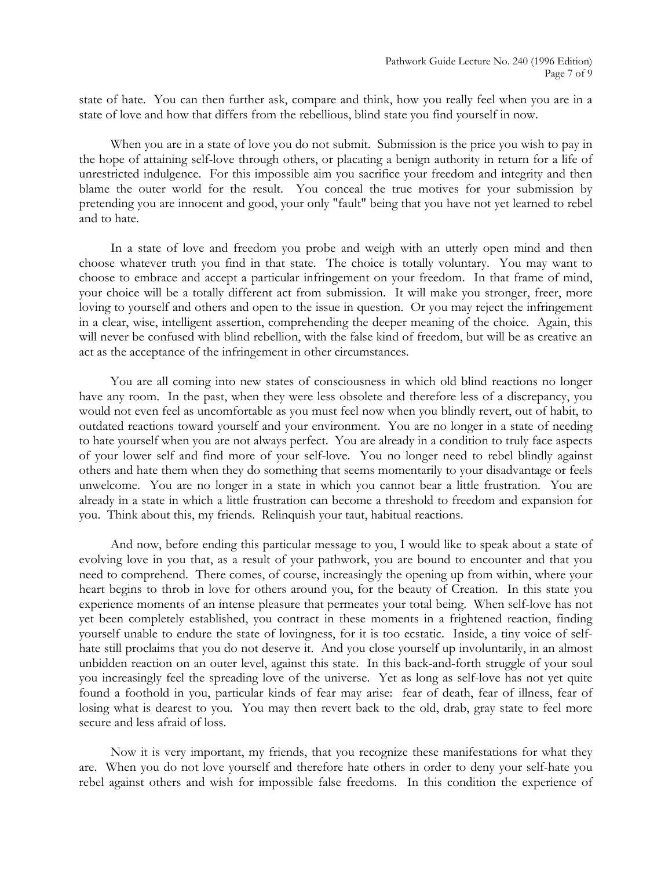state of hate. You can then further ask, compare and think, how you really feel when you are in a state of love and how that differs from the rebellious, blind state you find yourself in now.

When you are in a state of love you do not submit. Submission is the price you wish to pay in the hope of attaining self-love through others, or placating a benign authority in return for a life of unrestricted indulgence. For this impossible aim you sacrifice your freedom and integrity and then blame the outer world for the result. You conceal the true motives for your submission by pretending you are innocent and good, your only "fault" being that you have not yet learned to rebel and to hate.

In a state of love and freedom you probe and weigh with an utterly open mind and then choose whatever truth you find in that state. The choice is totally voluntary. You may want to choose to embrace and accept a particular infringement on your freedom. In that frame of mind, your choice will be a totally different act from submission. It will make you stronger, freer, more loving to yourself and others and open to the issue in question. Or you may reject the infringement in a clear, wise, intelligent assertion, comprehending the deeper meaning of the choice. Again, this will never be confused with blind rebellion, with the false kind of freedom, but will be as creative an act as the acceptance of the infringement in other circumstances.

You are all coming into new states of consciousness in which old blind reactions no longer have any room. In the past, when they were less obsolete and therefore less of a discrepancy, you would not even feel as uncomfortable as you must feel now when you blindly revert, out of habit, to outdated reactions toward yourself and your environment. You are no longer in a state of needing to hate yourself when you are not always perfect. You are already in a condition to truly face aspects of your lower self and find more of your self-love. You no longer need to rebel blindly against others and hate them when they do something that seems momentarily to your disadvantage or feels unwelcome. You are no longer in a state in which you cannot bear a little frustration. You are already in a state in which a little frustration can become a threshold to freedom and expansion for you. Think about this, my friends. Relinquish your taut, habitual reactions.

And now, before ending this particular message to you, I would like to speak about a state of evolving love in you that, as a result of your pathwork, you are bound to encounter and that you need to comprehend. There comes, of course, increasingly the opening up from within, where your heart begins to throb in love for others around you, for the beauty of Creation. In this state you experience moments of an intense pleasure that permeates your total being. When self-love has not yet been completely established, you contract in these moments in a frightened reaction, finding yourself unable to endure the state of lovingness, for it is too ecstatic. Inside, a tiny voice of selfhate still proclaims that you do not deserve it. And you close yourself up involuntarily, in an almost unbidden reaction on an outer level, against this state. In this back-and-forth struggle of your soul you increasingly feel the spreading love of the universe. Yet as long as self-love has not yet quite found a foothold in you, particular kinds of fear may arise: fear of death, fear of illness, fear of losing what is dearest to you. You may then revert back to the old, drab, gray state to feel more secure and less afraid of loss.

Now it is very important, my friends, that you recognize these manifestations for what they are. When you do not love yourself and therefore hate others in order to deny your self-hate you rebel against others and wish for impossible false freedoms. In this condition the experience of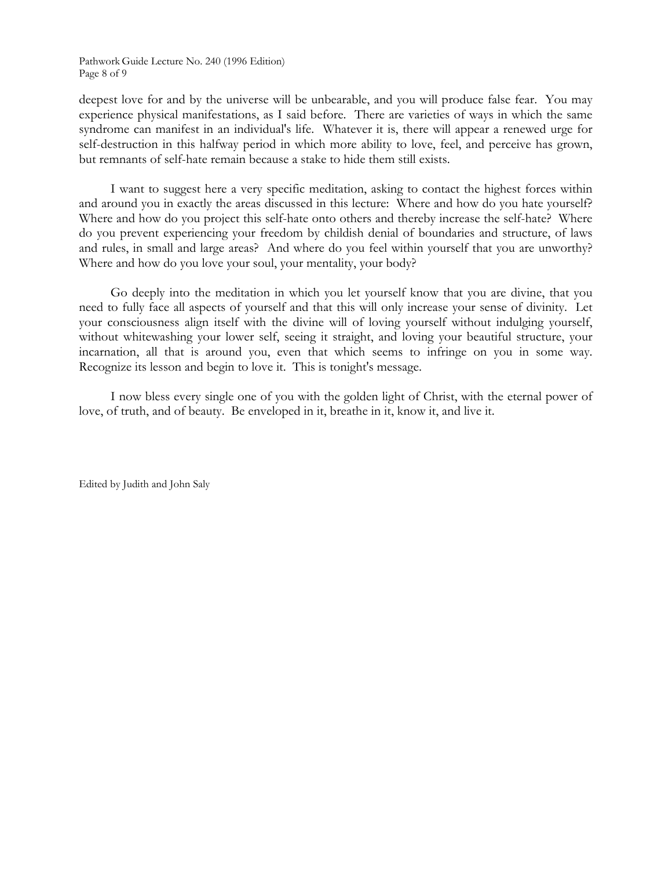Pathwork Guide Lecture No. 240 (1996 Edition) Page 8 of 9

deepest love for and by the universe will be unbearable, and you will produce false fear. You may experience physical manifestations, as I said before. There are varieties of ways in which the same syndrome can manifest in an individual's life. Whatever it is, there will appear a renewed urge for self-destruction in this halfway period in which more ability to love, feel, and perceive has grown, but remnants of self-hate remain because a stake to hide them still exists.

I want to suggest here a very specific meditation, asking to contact the highest forces within and around you in exactly the areas discussed in this lecture: Where and how do you hate yourself? Where and how do you project this self-hate onto others and thereby increase the self-hate? Where do you prevent experiencing your freedom by childish denial of boundaries and structure, of laws and rules, in small and large areas? And where do you feel within yourself that you are unworthy? Where and how do you love your soul, your mentality, your body?

Go deeply into the meditation in which you let yourself know that you are divine, that you need to fully face all aspects of yourself and that this will only increase your sense of divinity. Let your consciousness align itself with the divine will of loving yourself without indulging yourself, without whitewashing your lower self, seeing it straight, and loving your beautiful structure, your incarnation, all that is around you, even that which seems to infringe on you in some way. Recognize its lesson and begin to love it. This is tonight's message.

I now bless every single one of you with the golden light of Christ, with the eternal power of love, of truth, and of beauty. Be enveloped in it, breathe in it, know it, and live it.

Edited by Judith and John Saly